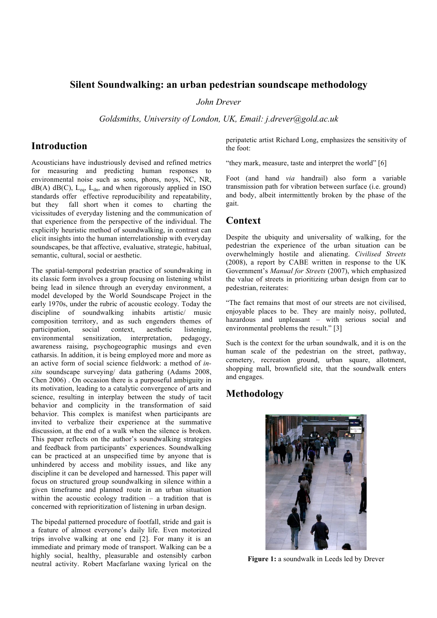### **Silent Soundwalking: an urban pedestrian soundscape methodology**

*John Drever*

*Goldsmiths, University of London, UK, Email: j.drever@gold.ac.uk*

## **Introduction**

Acousticians have industriously devised and refined metrics for measuring and predicting human responses to environmental noise such as sons, phons, noys, NC, NR,  $dB(A)$  dB(C),  $L_{eq}$ ,  $L_{dn}$ , and when rigorously applied in ISO standards offer effective reproducibility and repeatability, but they fall short when it comes to charting the vicissitudes of everyday listening and the communication of that experience from the perspective of the individual. The explicitly heuristic method of soundwalking, in contrast can elicit insights into the human interrelationship with everyday soundscapes, be that affective, evaluative, strategic, habitual, semantic, cultural, social or aesthetic.

The spatial-temporal pedestrian practice of soundwaking in its classic form involves a group focusing on listening whilst being lead in silence through an everyday environment, a model developed by the World Soundscape Project in the early 1970s, under the rubric of acoustic ecology. Today the discipline of soundwalking inhabits artistic/ music composition territory, and as such engenders themes of participation, social context, aesthetic listening, environmental sensitization, interpretation, pedagogy, awareness raising, psychogeographic musings and even catharsis. In addition, it is being employed more and more as an active form of social science fieldwork: a method of *insitu* soundscape surveying/ data gathering (Adams 2008, Chen 2006) . On occasion there is a purposeful ambiguity in its motivation, leading to a catalytic convergence of arts and science, resulting in interplay between the study of tacit behavior and complicity in the transformation of said behavior. This complex is manifest when participants are invited to verbalize their experience at the summative discussion, at the end of a walk when the silence is broken. This paper reflects on the author's soundwalking strategies and feedback from participants' experiences. Soundwalking can be practiced at an unspecified time by anyone that is unhindered by access and mobility issues, and like any discipline it can be developed and harnessed. This paper will focus on structured group soundwalking in silence within a given timeframe and planned route in an urban situation within the acoustic ecology tradition – a tradition that is concerned with reprioritization of listening in urban design.

The bipedal patterned procedure of footfall, stride and gait is a feature of almost everyone's daily life. Even motorized trips involve walking at one end [2]. For many it is an immediate and primary mode of transport. Walking can be a highly social, healthy, pleasurable and ostensibly carbon neutral activity. Robert Macfarlane waxing lyrical on the peripatetic artist Richard Long, emphasizes the sensitivity of the foot:

"they mark, measure, taste and interpret the world" [6]

Foot (and hand *via* handrail) also form a variable transmission path for vibration between surface (i.e. ground) and body, albeit intermittently broken by the phase of the gait.

### **Context**

Despite the ubiquity and universality of walking, for the pedestrian the experience of the urban situation can be overwhelmingly hostile and alienating. *Civilised Streets* (2008), a report by CABE written in response to the UK Government's *Manual for Streets* (2007), which emphasized the value of streets in prioritizing urban design from car to pedestrian, reiterates:

"The fact remains that most of our streets are not civilised, enjoyable places to be. They are mainly noisy, polluted, hazardous and unpleasant – with serious social and environmental problems the result." [3]

Such is the context for the urban soundwalk, and it is on the human scale of the pedestrian on the street, pathway, cemetery, recreation ground, urban square, allotment, shopping mall, brownfield site, that the soundwalk enters and engages.

# **Methodology**



**Figure 1:** a soundwalk in Leeds led by Drever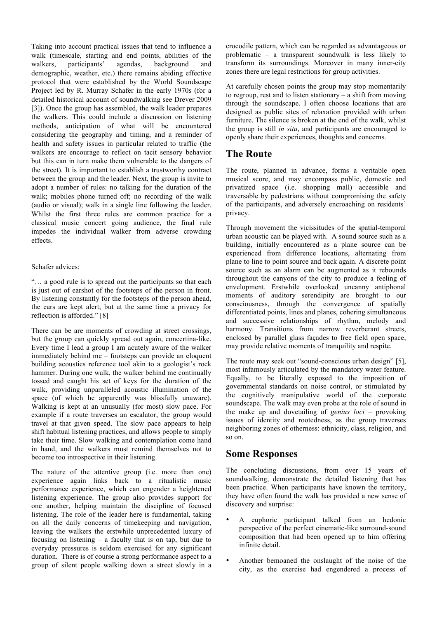Taking into account practical issues that tend to influence a walk (timescale, starting and end points, abilities of the walkers, participants' agendas, background and demographic, weather, etc.) there remains abiding effective protocol that were established by the World Soundscape Project led by R. Murray Schafer in the early 1970s (for a detailed historical account of soundwalking see Drever 2009 [3]). Once the group has assembled, the walk leader prepares the walkers. This could include a discussion on listening methods, anticipation of what will be encountered considering the geography and timing, and a reminder of health and safety issues in particular related to traffic (the walkers are encourage to reflect on tacit sensory behavior but this can in turn make them vulnerable to the dangers of the street). It is important to establish a trustworthy contract between the group and the leader. Next, the group is invite to adopt a number of rules: no talking for the duration of the walk; mobiles phone turned off; no recording of the walk (audio or visual); walk in a single line following the leader. Whilst the first three rules are common practice for a classical music concert going audience, the final rule impedes the individual walker from adverse crowding effects.

#### Schafer advices:

"… a good rule is to spread out the participants so that each is just out of earshot of the footsteps of the person in front. By listening constantly for the footsteps of the person ahead, the ears are kept alert; but at the same time a privacy for reflection is afforded." [8]

There can be are moments of crowding at street crossings, but the group can quickly spread out again, concertina-like. Every time I lead a group I am acutely aware of the walker immediately behind me – footsteps can provide an eloquent building acoustics reference tool akin to a geologist's rock hammer. During one walk, the walker behind me continually tossed and caught his set of keys for the duration of the walk, providing unparalleled acoustic illumination of the space (of which he apparently was blissfully unaware). Walking is kept at an unusually (for most) slow pace. For example if a route traverses an escalator, the group would travel at that given speed. The slow pace appears to help shift habitual listening practices, and allows people to simply take their time. Slow walking and contemplation come hand in hand, and the walkers must remind themselves not to become too introspective in their listening.

The nature of the attentive group (i.e. more than one) experience again links back to a ritualistic music performance experience, which can engender a heightened listening experience. The group also provides support for one another, helping maintain the discipline of focused listening. The role of the leader here is fundamental, taking on all the daily concerns of timekeeping and navigation, leaving the walkers the erstwhile unprecedented luxury of focusing on listening – a faculty that is on tap, but due to everyday pressures is seldom exercised for any significant duration. There is of course a strong performance aspect to a group of silent people walking down a street slowly in a crocodile pattern, which can be regarded as advantageous or problematic – a transparent soundwalk is less likely to transform its surroundings. Moreover in many inner-city zones there are legal restrictions for group activities.

At carefully chosen points the group may stop momentarily to regroup, rest and to listen stationary – a shift from moving through the soundscape. I often choose locations that are designed as public sites of relaxation provided with urban furniture. The silence is broken at the end of the walk, whilst the group is still *in situ*, and participants are encouraged to openly share their experiences, thoughts and concerns.

# **The Route**

The route, planned in advance, forms a veritable open musical score, and may encompass public, domestic and privatized space (i.e. shopping mall) accessible and traversable by pedestrians without compromising the safety of the participants, and adversely encroaching on residents' privacy.

Through movement the vicissitudes of the spatial-temporal urban acoustic can be played with. A sound source such as a building, initially encountered as a plane source can be experienced from difference locations, alternating from plane to line to point source and back again. A discrete point source such as an alarm can be augmented as it rebounds throughout the canyons of the city to produce a feeling of envelopment. Erstwhile overlooked uncanny antiphonal moments of auditory serendipity are brought to our consciousness, through the convergence of spatially differentiated points, lines and planes, cohering simultaneous and successive relationships of rhythm, melody and harmony. Transitions from narrow reverberant streets, enclosed by parallel glass façades to free field open space, may provide relative moments of tranquility and respite.

The route may seek out "sound-conscious urban design" [5], most infamously articulated by the mandatory water feature. Equally, to be literally exposed to the imposition of governmental standards on noise control, or stimulated by the cognitively manipulative world of the corporate soundscape. The walk may even probe at the role of sound in the make up and dovetailing of *genius loci* – provoking issues of identity and rootedness, as the group traverses neighboring zones of otherness: ethnicity, class, religion, and so on.

## **Some Responses**

The concluding discussions, from over 15 years of soundwalking, demonstrate the detailed listening that has been practice. When participants have known the territory, they have often found the walk has provided a new sense of discovery and surprise:

- A euphoric participant talked from an hedonic perspective of the perfect cinematic-like surround-sound composition that had been opened up to him offering infinite detail.
- Another bemoaned the onslaught of the noise of the city, as the exercise had engendered a process of